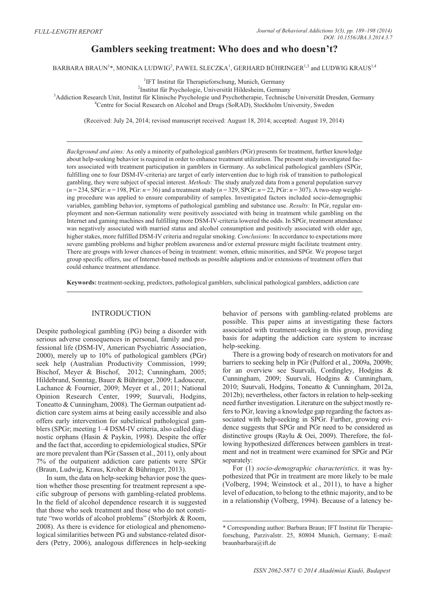# **Gamblers seeking treatment: Who does and who doesn't?**

BARBARA BRAUN $^{\rm l}$ \*, MONIKA LUDWIG $^{\rm 2}$ , PAWEL SLECZKA $^{\rm l}$ , GERHARD BÜHRINGER $^{\rm l,3}$  and LUDWIG KRAUS $^{\rm l,4}$ 

<sup>1</sup>IFT Institut für Therapieforschung, Munich, Germany

2 Institut für Psychologie, Universität Hildesheim, Germany 3 Addiction Research Unit, Institut für Klinische Psychologie und Psychotherapie, Technische Universität Dresden, Germany

<sup>4</sup>Centre for Social Research on Alcohol and Drugs (SoRAD), Stockholm University, Sweden

(Received: July 24, 2014; revised manuscript received: August 18, 2014; accepted: August 19, 2014)

*Background and aims:* As only a minority of pathological gamblers (PGr) presents for treatment, further knowledge about help-seeking behavior is required in order to enhance treatment utilization. The present study investigated factors associated with treatment participation in gamblers in Germany. As subclinical pathological gamblers (SPGr, fulfilling one to four DSM-IV-criteria) are target of early intervention due to high risk of transition to pathological gambling, they were subject of special interest. *Methods:* The study analyzed data from a general population survey (*n* = 234, SPGr: *n* = 198, PGr: *n* = 36) and a treatment study (*n* = 329, SPGr: *n* = 22, PGr: *n* = 307). A two-step weighting procedure was applied to ensure comparability of samples. Investigated factors included socio-demographic variables, gambling behavior, symptoms of pathological gambling and substance use. *Results:* In PGr, regular employment and non-German nationality were positively associated with being in treatment while gambling on the Internet and gaming machines and fulfilling more DSM-IV-criteria lowered the odds. In SPGr, treatment attendance was negatively associated with married status and alcohol consumption and positively associated with older age, higher stakes, more fulfilled DSM-IV criteria and regular smoking. *Conclusions:* In accordance to expectations more severe gambling problems and higher problem awareness and/or external pressure might facilitate treatment entry. There are groups with lower chances of being in treatment: women, ethnic minorities, and SPGr. We propose target group specific offers, use of Internet-based methods as possible adaptions and/or extensions of treatment offers that could enhance treatment attendance.

**Keywords:** treatment-seeking, predictors, pathological gamblers, subclinical pathological gamblers, addiction care

# INTRODUCTION

Despite pathological gambling (PG) being a disorder with serious adverse consequences in personal, family and professional life (DSM-IV, American Psychiatric Association, 2000), merely up to 10% of pathological gamblers (PGr) seek help (Australian Productivity Commission, 1999; Bischof, Meyer & Bischof, 2012; Cunningham, 2005; Hildebrand, Sonntag, Bauer & Bühringer, 2009; Ladouceur, Lachance & Fournier, 2009; Meyer et al., 2011; National Opinion Research Center, 1999; Suurvali, Hodgins, Toneatto & Cunningham, 2008). The German outpatient addiction care system aims at being easily accessible and also offers early intervention for subclinical pathological gamblers (SPGr; meeting 1–4 DSM-IV criteria, also called diagnostic orphans (Hasin & Paykin, 1998). Despite the offer and the fact that, according to epidemiological studies, SPGr are more prevalent than PGr (Sassen et al., 2011), only about 7% of the outpatient addiction care patients were SPGr (Braun, Ludwig, Kraus, Kroher & Bühringer, 2013).

In sum, the data on help-seeking behavior pose the question whether those presenting for treatment represent a specific subgroup of persons with gambling-related problems. In the field of alcohol dependence research it is suggested that those who seek treatment and those who do not constitute "two worlds of alcohol problems" (Storbjörk & Room, 2008). As there is evidence for etiological and phenomenological similarities between PG and substance-related disorders (Petry, 2006), analogous differences in help-seeking behavior of persons with gambling-related problems are possible. This paper aims at investigating these factors associated with treatment-seeking in this group, providing basis for adapting the addiction care system to increase help-seeking.

There is a growing body of research on motivators for and barriers to seeking help in PGr (Pulford et al., 2009a, 2009b; for an overview see Suurvali, Cordingley, Hodgins & Cunningham, 2009; Suurvali, Hodgins & Cunningham, 2010; Suurvali, Hodgins, Toneatto & Cunningham, 2012a, 2012b); nevertheless, other factors in relation to help-seeking need further investigation. Literature on the subject mostly refers to PGr, leaving a knowledge gap regarding the factors associated with help-seeking in SPGr. Further, growing evidence suggests that SPGr and PGr need to be considered as distinctive groups (Raylu & Oei, 2009). Therefore, the following hypothesized differences between gamblers in treatment and not in treatment were examined for SPGr and PGr separately:

For (1) *socio-demographic characteristics,* it was hypothesized that PGr in treatment are more likely to be male (Volberg, 1994; Weinstock et al., 2011), to have a higher level of education, to belong to the ethnic majority, and to be in a relationship (Volberg, 1994). Because of a latency be-

<sup>\*</sup> Corresponding author: Barbara Braun; IFT Institut für Therapieforschung, Parzivalstr. 25, 80804 Munich, Germany; E-mail: braunbarbara@ift.de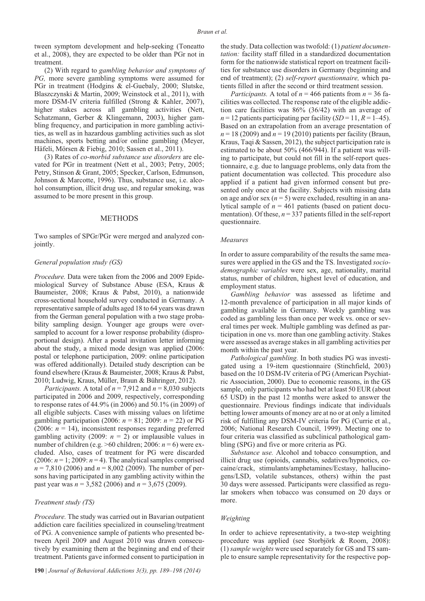tween symptom development and help-seeking (Toneatto et al., 2008), they are expected to be older than PGr not in treatment.

(2) With regard to *gambling behavior and symptoms of PG,* more severe gambling symptoms were assumed for PGr in treatment (Hodgins & el-Guebaly, 2000; Slutske, Blaszczynski & Martin, 2009; Weinstock et al., 2011), with more DSM-IV criteria fulfilled (Strong & Kahler, 2007), higher stakes across all gambling activities (Nett, Schatzmann, Gerber & Klingemann, 2003), higher gambling frequency, and participation in more gambling activities, as well as in hazardous gambling activities such as slot machines, sports betting and/or online gambling (Meyer, Häfeli, Mörsen & Fiebig, 2010; Sassen et al., 2011).

(3) Rates of *co-morbid substance use disorders* are elevated for PGr in treatment (Nett et al., 2003; Petry, 2005; Petry, Stinson & Grant, 2005; Specker, Carlson, Edmunson, Johnson & Marcotte, 1996). Thus, substance use, i.e. alcohol consumption, illicit drug use, and regular smoking, was assumed to be more present in this group.

# **METHODS**

Two samples of SPGr/PGr were merged and analyzed conjointly.

## *General population study (GS)*

*Procedure.* Data were taken from the 2006 and 2009 Epidemiological Survey of Substance Abuse (ESA, Kraus & Baumeister, 2008; Kraus & Pabst, 2010), a nationwide cross-sectional household survey conducted in Germany. A representative sample of adults aged 18 to 64 years was drawn from the German general population with a two stage probability sampling design. Younger age groups were oversampled to account for a lower response probability (disproportional design). After a postal invitation letter informing about the study, a mixed mode design was applied (2006: postal or telephone participation, 2009: online participation was offered additionally). Detailed study description can be found elsewhere (Kraus & Baumeister, 2008; Kraus & Pabst, 2010; Ludwig, Kraus, Müller, Braun & Bühringer, 2012).

*Participants.* A total of  $n = 7.912$  and  $n = 8.030$  subjects participated in 2006 and 2009, respectively, corresponding to response rates of 44.9% (in 2006) and 50.1% (in 2009) of all eligible subjects. Cases with missing values on lifetime gambling participation (2006:  $n = 81$ ; 2009:  $n = 22$ ) or PG (2006:  $n = 14$ ), inconsistent responses regarding preferred gambling activity (2009:  $n = 2$ ) or implausible values in number of children (e.g.  $>60$  children; 2006:  $n = 6$ ) were excluded. Also, cases of treatment for PG were discarded  $(2006: n=1; 2009: n=4)$ . The analytical samples comprised  $n = 7,810$  (2006) and  $n = 8,002$  (2009). The number of persons having participated in any gambling activity within the past year was *n* = 3,582 (2006) and *n* = 3,675 (2009).

## *Treatment study (TS)*

*Procedure.* The study was carried out in Bavarian outpatient addiction care facilities specialized in counseling/treatment of PG. A convenience sample of patients who presented between April 2009 and August 2010 was drawn consecutively by examining them at the beginning and end of their treatment. Patients gave informed consent to participation in the study. Data collection was twofold: (1) *patient documentation:* facility staff filled in a standardized documentation form for the nationwide statistical report on treatment facilities for substance use disorders in Germany (beginning and end of treatment); (2) *self-report questionnaire,* which patients filled in after the second or third treatment session.

*Participants.* A total of  $n = 466$  patients from  $n = 36$  facilities was collected. The response rate of the eligible addiction care facilities was 86% (36/42) with an average of  $n = 12$  patients participating per facility  $(SD = 11, R = 1-45)$ . Based on an extrapolation from an average presentation of  $n = 18$  (2009) and  $n = 19$  (2010) patients per facility (Braun, Kraus, Taqi & Sassen, 2012), the subject participation rate is estimated to be about 50% (466/944). If a patient was willing to participate, but could not fill in the self-report questionnaire, e.g. due to language problems, only data from the patient documentation was collected. This procedure also applied if a patient had given informed consent but presented only once at the facility. Subjects with missing data on age and/or sex  $(n = 5)$  were excluded, resulting in an analytical sample of  $n = 461$  patients (based on patient documentation). Of these,  $n = 337$  patients filled in the self-report questionnaire.

#### *Measures*

In order to assure comparability of the results the same measures were applied in the GS and the TS. Investigated *sociodemographic variables* were sex, age, nationality, marital status, number of children, highest level of education, and employment status.

*Gambling behavior* was assessed as lifetime and 12-month prevalence of participation in all major kinds of gambling available in Germany. Weekly gambling was coded as gambling less than once per week vs. once or several times per week. Multiple gambling was defined as participation in one vs. more than one gambling activity. Stakes were assessed as average stakes in all gambling activities per month within the past year.

*Pathological gambling.* In both studies PG was investigated using a 19-item questionnaire (Stinchfield, 2003) based on the 10 DSM-IV criteria of PG (American Psychiatric Association, 2000). Due to economic reasons, in the GS sample, only participants who had bet at least 50 EUR (about 65 USD) in the past 12 months were asked to answer the questionnaire. Previous findings indicate that individuals betting lower amounts of money are at no or at only a limited risk of fulfilling any DSM-IV criteria for PG (Currie et al., 2006; National Research Council, 1999). Meeting one to four criteria was classified as subclinical pathological gambling (SPG) and five or more criteria as PG.

*Substance use.* Alcohol and tobacco consumption, and illicit drug use (opioids, cannabis, sedatives/hypnotics, cocaine/crack, stimulants/amphetamines/Ecstasy, hallucinogens/LSD, volatile substances, others) within the past 30 days were assessed. Participants were classified as regular smokers when tobacco was consumed on 20 days or more.

#### *Weighting*

In order to achieve representativity, a two-step weighting procedure was applied (see Storbjörk & Room, 2008): (1) *sample weights* were used separately for GS and TS sample to ensure sample representativity for the respective pop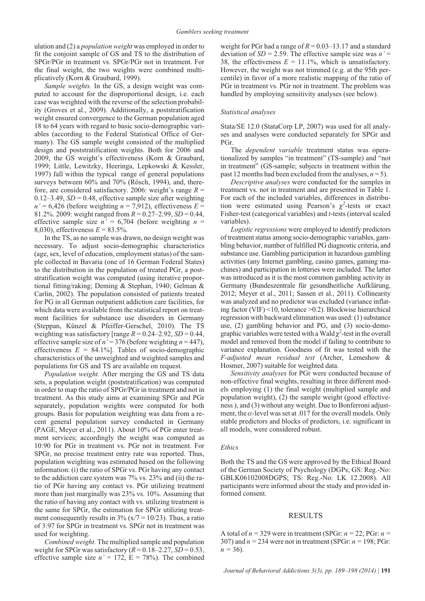ulation and (2) a *population weight* was employed in order to fit the conjoint sample of GS and TS to the distribution of SPGr/PGr in treatment vs. SPGr/PGr not in treatment. For the final weight, the two weights were combined multiplicatively (Korn & Graubard, 1999).

*Sample weights.* In the GS, a design weight was computed to account for the disproportional design, i.e. each case was weighted with the reverse of the selection probability (Groves et al., 2009). Additionally, a poststratification weight ensured convergence to the German population aged 18 to 64 years with regard to basic socio-demographic variables (according to the Federal Statistical Office of Germany). The GS sample weight consisted of the multiplied design and poststratification weights. Both for 2006 and 2009, the GS weight's effectiveness (Korn & Graubard, 1999; Little, Lewitzky, Heeringa, Lepkowski & Kessler, 1997) fall within the typical range of general populations surveys between 60% and 70% (Rösch, 1994), and, therefore, are considered satisfactory. 2006: weight's range  $R =$  $0.12-3.49$ ,  $SD = 0.48$ , effective sample size after weighting  $n' = 6,426$  (before weighting  $n = 7,912$ ), effectiveness  $E =$ 81.2%. 2009: weight ranged from *R* = 0.27–2.99, *SD* = 0.44, effective sample size  $n' = 6,704$  (before weighting  $n =$ 8,030), effectiveness  $E = 83.5\%$ .

In the TS, as no sample was drawn, no design weight was necessary. To adjust socio-demographic characteristics (age, sex, level of education, employment status) of the sample collected in Bavaria (one of 16 German Federal States) to the distribution in the population of treated PGr, a poststratification weight was computed (using iterative proportional fitting/raking; Deming & Stephan, 1940; Gelman & Carlin, 2002). The population consisted of patients treated for PG in all German outpatient addiction care facilities, for which data were available from the statistical report on treatment facilities for substance use disorders in Germany (Steppan, Künzel & Pfeiffer-Gerschel, 2010). The TS weighting was satisfactory [range  $R = 0.24 - 2.92$ ,  $SD = 0.44$ , effective sample size of *n'* = 376 (before weighting *n* = 447), effectiveness  $E = 84.1\%$ . Tables of socio-demographic characteristics of the unweighted and weighted samples and populations for GS and TS are available on request.

*Population weight.* After merging the GS and TS data sets, a population weight (poststratification) was computed in order to map the ratio of SPGr/PGr in treatment and not in treatment. As this study aims at examining SPGr and PGr separately, population weights were computed for both groups. Basis for population weighting was data from a recent general population survey conducted in Germany (PAGE, Meyer et al., 2011). About 10% of PGr enter treatment services; accordingly the weight was computed as 10:90 for PGr in treatment vs. PGr not in treatment. For SPGr, no precise treatment entry rate was reported. Thus, population weighting was estimated based on the following information: (i) the ratio of SPGr vs. PGr having any contact to the addiction care system was 7% vs. 23% and (ii) the ratio of PGr having any contact vs. PGr utilizing treatment more than just marginally was 23% vs. 10%. Assuming that the ratio of having any contact with vs. utilizing treatment is the same for SPGr, the estimation for SPGr utilizing treatment consequently results in  $3\%$  (x/7 = 10/23). Thus, a ratio of 3:97 for SPGr in treatment vs. SPGr not in treatment was used for weighting.

*Combined weight.* The multiplied sample and population weight for SPGr was satisfactory  $(R = 0.18-2.27, SD = 0.53,$ effective sample size  $n' = 172$ ,  $E = 78\%$ ). The combined weight for PGr had a range of  $R = 0.03-13.17$  and a standard deviation of  $SD = 2.59$ . The effective sample size was  $n' =$ 38, the effectiveness  $E = 11.1\%$ , which is unsatisfactory. However, the weight was not trimmed (e.g. at the 95th percentile) in favor of a more realistic mapping of the ratio of PGr in treatment vs. PGr not in treatment. The problem was handled by employing sensitivity analyses (see below).

#### *Statistical analyses*

Stata/SE 12.0 (StataCorp LP, 2007) was used for all analyses and analyses were conducted separately for SPGr and PGr.

The *dependent variable* treatment status was operationalized by samples "in treatment" (TS-sample) and "not in treatment" (GS-sample; subjects in treatment within the past 12 months had been excluded from the analyses,  $n = 5$ ).

*Descriptive analyses* were conducted for the samples in treatment vs. not in treatment and are presented in Table 1. For each of the included variables, differences in distribution were estimated using Pearson's  $\chi^2$ -tests or exact Fisher-test (categorical variables) and *t*-tests (interval scaled variables).

*Logistic regressions* were employed to identify predictors of treatment status among socio-demographic variables, gambling behavior, number of fulfilled PG diagnostic criteria, and substance use. Gambling participation in hazardous gambling activities (any Internet gambling, casino games, gaming machines) and participation in lotteries were included. The latter was introduced as it is the most common gambling activity in Germany (Bundeszentrale für gesundheitliche Aufklärung, 2012; Meyer et al., 2011; Sassen et al., 2011). Collinearity was analyzed and no predictor was excluded (variance inflating factor (VIF) <10, tolerance >0.2). Blockwise hierarchical regression with backward elimination was used: (1) substance use, (2) gambling behavior and PG, and (3) socio-demographic variables were tested with a Wald  $\chi^2$ -test in the overall model and removed from the model if failing to contribute to variance explanation. Goodness of fit was tested with the *F-adjusted mean residual test* (Archer, Lemeshow & Hosmer, 2007) suitable for weighted data.

*Sensitivity analyses* for PGr were conducted because of non-effective final weights, resulting in three different models employing (1) the final weight (multiplied sample and population weight), (2) the sample weight (good effectiveness ), and (3) without any weight. Due to Bonferroni adjustment, the  $\alpha$ -level was set at .017 for the overall models. Only stable predictors and blocks of predictors, i.e. significant in all models, were considered robust.

#### *Ethics*

Both the TS and the GS were approved by the Ethical Board of the German Society of Psychology (DGPs; GS: Reg.-No: GBLK06102008DGPS; TS: Reg.-No: LK 12.2008). All participants were informed about the study and provided informed consent.

## RESULTS

A total of  $n = 329$  were in treatment (SPGr:  $n = 22$ ; PGr:  $n =$ 307) and *n =* 234 were not in treatment (SPGr: *n =* 198; PGr: *n =* 36).

*Journal of Behavioral Addictions 3(3), pp. 189–198 (2014)* | **191**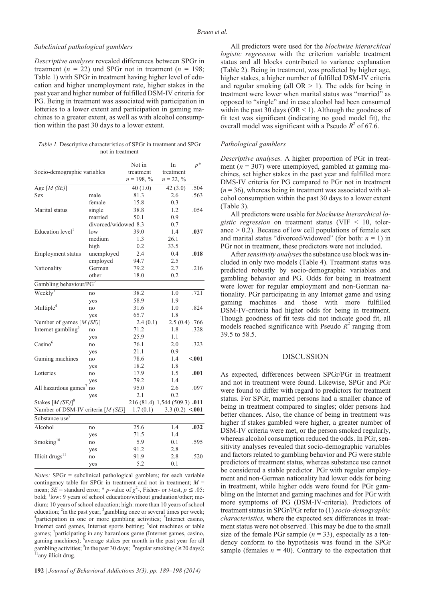# *Subclinical pathological gamblers*

*Descriptive analyses* revealed differences between SPGr in treatment ( $n = 22$ ) und SPGr not in treatment ( $n = 198$ ; Table 1) with SPGr in treatment having higher level of education and higher unemployment rate, higher stakes in the past year and higher number of fulfilled DSM-IV criteria for PG. Being in treatment was associated with participation in lotteries to a lower extent and participation in gaming machines to a greater extent, as well as with alcohol consumption within the past 30 days to a lower extent.

| Table 1. Descriptive characteristics of SPGr in treatment and SPGr |  |
|--------------------------------------------------------------------|--|
| not in treatment                                                   |  |

|                                     |                      | Not in                        | In                 | $p^*$  |
|-------------------------------------|----------------------|-------------------------------|--------------------|--------|
| Socio-demographic variables         |                      | treatment                     | treatment          |        |
|                                     |                      | $n = 198, \%$                 | $n = 22, \%$       |        |
| Age $[M(SE)]$                       |                      | 40(1.0)                       | 42(3.0)            | .504   |
| <b>Sex</b>                          | male                 | 81.3                          | 2.6                | .563   |
|                                     | female               | 15.8                          | 0.3                |        |
| Marital status                      | single               | 38.8                          | 1.2                | .054   |
|                                     | married              | 50.1                          | 0.9                |        |
|                                     | divorced/widowed 8.3 |                               | 0.7                |        |
| Education level <sup>1</sup>        | low                  | 39.0                          | 1.4                | .037   |
|                                     | medium               | 1.3                           | 26.1               |        |
|                                     | high                 | 0.2                           | 33.5               |        |
| <b>Employment</b> status            | unemployed           | 2.4                           | 0.4                | .018   |
|                                     | employed             | 94.7                          | 2.5                |        |
| Nationality                         | German               | 79.2                          | 2.7                | .216   |
|                                     | other                | 18.0                          | 0.2                |        |
| Gambling behaviour/PG <sup>2</sup>  |                      |                               |                    |        |
| $\overline{\text{Weakly}^3}$        | no                   | 38.2                          | 1.0                | .721   |
|                                     | yes                  | 58.9                          | 1.9                |        |
| Multiple <sup>4</sup>               | no                   | 31.6                          | 1.0                | .824   |
|                                     | yes                  | 65.7                          | 1.8                |        |
| Number of games [M (SE)]            |                      | 2.4(0.1)                      | $2.5(0.4)$ .766    |        |
| Internet gambling <sup>5</sup>      | no                   | 71.2                          | 1.8                | .328   |
|                                     | yes                  | 25.9                          | 1.1                |        |
| $\text{Casino}^6$                   | no                   | 76.1                          | 2.0                | .323   |
|                                     | yes                  | 21.1                          | 0.9                |        |
| Gaming machines                     | no                   | 78.6                          | 1.4                | < .001 |
|                                     | yes                  | 18.2                          | 1.8                |        |
| Lotteries                           | no                   | 17.9                          | 1.5                | .001   |
|                                     | yes                  | 79.2                          | $1.4\,$            |        |
| All hazardous games <sup>7</sup> no |                      | 95.0                          | 2.6                | .097   |
|                                     | yes                  | 2.1                           | 0.2                |        |
| Stakes $[M(SE)]^8$                  |                      | 216 (81.4) 1,544 (509.3) .011 |                    |        |
| Number of DSM-IV criteria [M (SE)]  |                      | 1.7(0.1)                      | 3.3 $(0.2)$ < 0.01 |        |
| Substance use <sup>9</sup>          |                      |                               |                    |        |
| Alcohol                             | no                   | 25.6                          | 1.4                | .032   |
|                                     |                      | 71.5                          | 1.4                |        |
| Smoking <sup>10</sup>               | yes                  | 5.9                           | 0.1                | .595   |
|                                     | no                   | 91.2                          | 2.8                |        |
| Illicit drugs $11$                  | yes                  | 91.9                          | 2.8                | .520   |
|                                     | no                   | 5.2                           | 0.1                |        |
|                                     | yes                  |                               |                    |        |

*Notes:* SPGr = subclinical pathological gamblers; for each variable contingency table for SPGr in treatment and not in treatment;  $M =$ mean; *SE* = standard error; \* *p*-value of  $\chi^2$ -, Fisher- or *t*-test, *p* ≤ .05: bold; <sup>1</sup>low: 9 years of school education/without graduation/other; medium: 10 years of school education; high: more than 10 years of school education; <sup>2</sup>in the past year; <sup>3</sup> gambling once or several times per week; <sup>4</sup>participation in one or more gambling activities; <sup>5</sup>Internet casino, Internet card games, Internet sports betting; <sup>6</sup>slot machines or table games; <sup>7</sup>participating in any hazardous game (Internet games, casino, gaming machines); <sup>8</sup>average stakes per month in the past year for all gambling activities; <sup>9</sup>in the past 30 days; <sup>10</sup>regular smoking ( $\geq$ 20 days); <sup>11</sup>any illicit drug.

All predictors were used for the *blockwise hierarchical logistic regression* with the criterion variable treatment status and all blocks contributed to variance explanation (Table 2). Being in treatment, was predicted by higher age, higher stakes, a higher number of fulfilled DSM-IV criteria and regular smoking (all  $OR > 1$ ). The odds for being in treatment were lower when marital status was "married" as opposed to "single" and in case alcohol had been consumed within the past 30 days ( $OR < 1$ ). Although the goodness of fit test was significant (indicating no good model fit), the overall model was significant with a Pseudo  $R^2$  of 67.6.

## *Pathological gamblers*

*Descriptive analyses.* A higher proportion of PGr in treatment ( $n = 307$ ) were unemployed, gambled at gaming machines, set higher stakes in the past year and fulfilled more DMS-IV criteria for PG compared to PGr not in treatment  $(n = 36)$ , whereas being in treatment was associated with alcohol consumption within the past 30 days to a lower extent (Table 3).

All predictors were usable for *blockwise hierarchical logistic regression* on treatment status (VIF < 10, tolerance  $> 0.2$ ). Because of low cell populations of female sex and marital status "divorced/widowed" (for both:  $n = 1$ ) in PGr not in treatment, these predictors were not included.

After*sensitivity analyses*the substance use block was included in only two models (Table 4). Treatment status was predicted robustly by socio-demographic variables and gambling behavior and PG. Odds for being in treatment were lower for regular employment and non-German nationality. PGr participating in any Internet game and using gaming machines and those with more fulfilled DSM-IV-criteria had higher odds for being in treatment. Though goodness of fit tests did not indicate good fit, all models reached significance with Pseudo  $R^2$  ranging from 39.5 to 58.5.

## **DISCUSSION**

As expected, differences between SPGr/PGr in treatment and not in treatment were found. Likewise, SPGr and PGr were found to differ with regard to predictors for treatment status. For SPGr, married persons had a smaller chance of being in treatment compared to singles; older persons had better chances. Also, the chance of being in treatment was higher if stakes gambled were higher, a greater number of DSM-IV criteria were met, or the person smoked regularly, whereas alcohol consumption reduced the odds. In PGr, sensitivity analyses revealed that socio-demographic variables and factors related to gambling behavior and PG were stable predictors of treatment status, whereas substance use cannot be considered a stable predictor. PGr with regular employment and non-German nationality had lower odds for being in treatment, while higher odds were found for PGr gambling on the Internet and gaming machines and for PGr with more symptoms of PG (DSM-IV-criteria). Predictors of treatment status in SPGr/PGr refer to (1) *socio-demographic characteristics,* where the expected sex differences in treatment status were not observed. This may be due to the small size of the female PGr sample  $(n = 33)$ , especially as a tendency conform to the hypothesis was found in the SPGr sample (females  $n = 40$ ). Contrary to the expectation that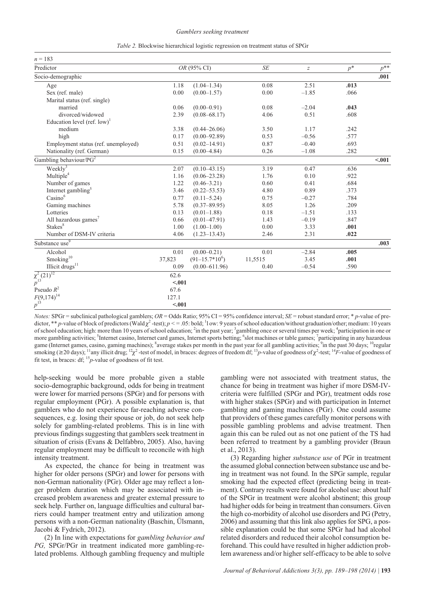|  |  | Table 2. Blockwise hierarchical logistic regression on treatment status of SPGr |  |  |
|--|--|---------------------------------------------------------------------------------|--|--|
|  |  |                                                                                 |  |  |

| $n = 183$                               |        |                   |           |                |       |          |
|-----------------------------------------|--------|-------------------|-----------|----------------|-------|----------|
| Predictor                               |        | OR (95% CI)       | <b>SE</b> | $\overline{z}$ | $p^*$ | $p^{**}$ |
| Socio-demographic                       |        |                   |           |                |       | .001     |
| Age                                     | 1.18   | $(1.04 - 1.34)$   | 0.08      | 2.51           | .013  |          |
| Sex (ref. male)                         | 0.00   | $(0.00-1.57)$     | 0.00      | $-1.85$        | .066  |          |
| Marital status (ref. single)            |        |                   |           |                |       |          |
| married                                 | 0.06   | $(0.00-0.91)$     | 0.08      | $-2.04$        | .043  |          |
| divorced/widowed                        | 2.39   | $(0.08 - 68.17)$  | 4.06      | 0.51           | .608  |          |
| Education level (ref. low) <sup>1</sup> |        |                   |           |                |       |          |
| medium                                  | 3.38   | $(0.44 - 26.06)$  | 3.50      | 1.17           | .242  |          |
| high                                    | 0.17   | $(0.00 - 92.89)$  | 0.53      | $-0.56$        | .577  |          |
| Employment status (ref. unemployed)     | 0.51   | $(0.02 - 14.91)$  | 0.87      | $-0.40$        | .693  |          |
| Nationality (ref. German)               | 0.15   | $(0.00-4.84)$     | 0.26      | $-1.08$        | .282  |          |
| Gambling behaviour/PG <sup>2</sup>      |        |                   |           |                |       | < .001   |
| Weekly <sup>3</sup>                     | 2.07   | $(0.10 - 43.15)$  | 3.19      | 0.47           | .636  |          |
| Multiple <sup>4</sup>                   | 1.16   | $(0.06 - 23.28)$  | 1.76      | 0.10           | .922  |          |
| Number of games                         | 1.22   | $(0.46 - 3.21)$   | 0.60      | 0.41           | .684  |          |
| Internet gambling <sup>5</sup>          | 3.46   | $(0.22 - 53.53)$  | 4.80      | 0.89           | .373  |          |
| $\text{Casino}^6$                       | 0.77   | $(0.11 - 5.24)$   | 0.75      | $-0.27$        | .784  |          |
| Gaming machines                         | 5.78   | $(0.37 - 89.95)$  | 8.05      | 1.26           | .209  |          |
| Lotteries                               | 0.13   | $(0.01 - 1.88)$   | 0.18      | $-1.51$        | .133  |          |
| All hazardous games <sup>7</sup>        | 0.66   | $(0.01 - 47.91)$  | 1.43      | $-0.19$        | .847  |          |
| Stakes <sup>8</sup>                     | 1.00   | $(1.00-1.00)$     | 0.00      | 3.33           | .001  |          |
| Number of DSM-IV criteria               | 4.06   | $(1.23 - 13.43)$  | 2.46      | 2.31           | .022  |          |
| Substance use <sup>9</sup>              |        |                   |           |                |       | .003     |
| Alcohol                                 | 0.01   | $(0.00-0.21)$     | 0.01      | $-2.84$        | .005  |          |
| Smoking <sup>10</sup>                   | 37,823 | $(91-15.7*10^6)$  | 11,5515   | 3.45           | .001  |          |
| Illicit drugs $^{11}$                   | 0.09   | $(0.00 - 611.96)$ | 0.40      | $-0.54$        | .590  |          |
| $\frac{\chi^2(21)^{12}}{p^{13}}$        | 62.6   |                   |           |                |       |          |
|                                         | < .001 |                   |           |                |       |          |
| Pseudo $R^2$                            | 67.6   |                   |           |                |       |          |
|                                         | 127.1  |                   |           |                |       |          |
| $F(9,174)^{14}$<br>$p^{15}$             | < .001 |                   |           |                |       |          |
|                                         |        |                   |           |                |       |          |

*Notes:* SPGr = subclinical pathological gamblers; *OR* = Odds Ratio; 95% CI = 95% confidence interval; *SE* = robust standard error; \* *p-*value of predictor, \*\* *p*-value of block of predictors (Wald  $\chi^2$ -test); *p* < = .05: bold; <sup>1</sup>l ow: 9 years of school education/without graduation/other; medium: 10 years of school education; high: more than 10 years of school education; <sup>2</sup>in the past year; <sup>3</sup>gambling once or several times per week; <sup>4</sup>participation in one or more gambling activities; <sup>5</sup>Internet casino, Internet card games, Internet sports betting; <sup>6</sup>slot machines or table games; <sup>7</sup>participating in any hazardous game (Internet games, casino, gaming machines); <sup>8</sup>average stakes per month in the past year for all gambling activities; <sup>9</sup>in the past 30 days; <sup>10</sup>regular smoking ( $\geq$ 20 days); <sup>11</sup>any illicit drug; <sup>12</sup> $\chi$ <sup>2</sup>-test of model, in braces: degrees of freedom df; <sup>13</sup>*p*-value of goodness of  $\chi$ <sup>2</sup>-test; <sup>14</sup>*F*-value of goodness of fit test, in braces: df; <sup>15</sup>*p-*value of goodness of fit test.

help-seeking would be more probable given a stable socio-demographic background, odds for being in treatment were lower for married persons (SPGr) and for persons with regular employment (PGr). A possible explanation is, that gamblers who do not experience far-reaching adverse consequences, e.g. losing their spouse or job, do not seek help solely for gambling-related problems. This is in line with previous findings suggesting that gamblers seek treatment in situation of crisis (Evans & Delfabbro, 2005). Also, having regular employment may be difficult to reconcile with high intensity treatment.

As expected, the chance for being in treatment was higher for older persons (SPGr) and lower for persons with non-German nationality (PGr). Older age may reflect a longer problem duration which may be associated with increased problem awareness and greater external pressure to seek help. Further on, language difficulties and cultural barriers could hamper treatment entry and utilization among persons with a non-German nationality (Baschin, Ülsmann, Jacobi & Fydrich, 2012).

(2) In line with expectations for *gambling behavior and PG,* SPGr/PGr in treatment indicated more gambling-related problems. Although gambling frequency and multiple gambling were not associated with treatment status, the chance for being in treatment was higher if more DSM-IVcriteria were fulfilled (SPGr and PGr), treatment odds rose with higher stakes (SPGr) and with participation in Internet gambling and gaming machines (PGr). One could assume that providers of these games carefully monitor persons with possible gambling problems and advise treatment. Then again this can be ruled out as not one patient of the TS had been referred to treatment by a gambling provider (Braun et al., 2013).

(3) Regarding higher *substance use* of PGr in treatment the assumed global connection between substance use and being in treatment was not found. In the SPGr sample, regular smoking had the expected effect (predicting being in treatment). Contrary results were found for alcohol use: about half of the SPGr in treatment were alcohol abstinent; this group had higher odds for being in treatment than consumers. Given the high co-morbidity of alcohol use disorders and PG (Petry, 2006) and assuming that this link also applies for SPG, a possible explanation could be that some SPGr had had alcohol related disorders and reduced their alcohol consumption beforehand. This could have resulted in higher addiction problem awareness and/or higher self-efficacy to be able to solve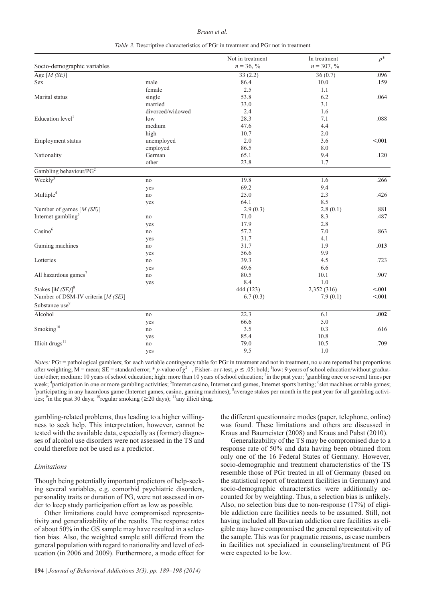#### *Braun et al.*

|                                    |                  | Not in treatment | In treatment  | $p^\ast$ |
|------------------------------------|------------------|------------------|---------------|----------|
| Socio-demographic variables        |                  | $n = 36, \%$     | $n = 307, \%$ |          |
| Age $[M(SE)]$                      |                  | 33(2.2)          | 36(0.7)       | .096     |
| Sex                                | male             | 86.4             | 10.0          | .159     |
|                                    | female           | 2.5              | 1.1           |          |
| Marital status                     | single           | 53.8             | 6.2           | .064     |
|                                    | married          | 33.0             | 3.1           |          |
|                                    | divorced/widowed | 2.4              | 1.6           |          |
| Education level <sup>1</sup>       | low              | 28.3             | 7.1           | .088     |
|                                    | medium           | 47.6             | 4.4           |          |
|                                    | high             | 10.7             | 2.0           |          |
| Employment status                  | unemployed       | $2.0$            | 3.6           | $-.001$  |
|                                    | employed         | 86.5             | 8.0           |          |
| Nationality                        | German           | 65.1             | 9.4           | .120     |
|                                    | other            | 23.8             | 1.7           |          |
| Gambling behaviour/PG <sup>2</sup> |                  |                  |               |          |
| $\overline{\text{Weakly}^3}$       | no               | 19.8             | 1.6           | .266     |
|                                    | yes              | 69.2             | 9.4           |          |
| Multiple <sup>4</sup>              | no               | 25.0             | 2.3           | .426     |
|                                    | yes              | 64.1             | 8.5           |          |
| Number of games $[M(SE)]$          |                  | 2.9(0.3)         | 2.8(0.1)      | .881     |
| Internet gambling <sup>5</sup>     | no               | 71.0             | 8.3           | .487     |
|                                    | yes              | 17.9             | 2.8           |          |
| $\mathrm{Casino}^6$                | no               | 57.2             | 7.0           | .863     |
|                                    | yes              | 31.7             | 4.1           |          |
| Gaming machines                    | no               | 31.7             | 1.9           | .013     |
|                                    | yes              | 56.6             | 9.9           |          |
| Lotteries                          | no               | 39.3             | 4.5           | .723     |
|                                    | yes              | 49.6             | 6.6           |          |
| All hazardous games <sup>7</sup>   | no               | 80.5             | 10.1          | .907     |
|                                    | yes              | 8.4              | 1.0           |          |
| Stakes $[M(SE)]^8$                 |                  | 444 (123)        | 2,352 (316)   | < .001   |
| Number of DSM-IV criteria [M (SE)] |                  | 6.7(0.3)         | 7.9(0.1)      | $-.001$  |
| Substance use <sup>9</sup>         |                  |                  |               |          |
| Alcohol                            | no               | 22.3             | 6.1           | .002     |
|                                    | yes              | 66.6             | 5.0           |          |
| Smoking <sup>10</sup>              | no               | 3.5              | 0.3           | .616     |
|                                    | yes              | 85.4             | 10.8          |          |
| Illicit drugs $11$                 | no               | 79.0             | 10.5          | .709     |
|                                    | yes              | 9.5              | 1.0           |          |

*Table 3.* Descriptive characteristics of PGr in treatment and PGr not in treatment

*Notes:* PGr = pathological gamblers; for each variable contingency table for PGr in treatment and not in treatment, no *n* are reported but proportions after weighting; M = mean; SE = standard error; \* *p*-value of  $\chi^2$  – , Fisher- or *t*-test,  $p \le 0.05$ : bold; <sup>1</sup>low: 9 years of school education/without graduation/other; medium: 10 years of school education; high: more than 10 years of school education; <sup>2</sup> in the past year; <sup>3</sup> gambling once or several times per week; <sup>4</sup>participation in one or more gambling activities; <sup>5</sup>Internet casino, Internet card games, Internet sports betting; <sup>6</sup>slot machines or table games;  $^7$ participating in any hazardous game (Internet games, casino, gaming machines);  $^8$ average stakes per month in the past year for all gambling activities; <sup>9</sup>in the past 30 days; <sup>10</sup>regular smoking ( $\geq$ 20 days); <sup>11</sup>any illicit drug.

gambling-related problems, thus leading to a higher willingness to seek help. This interpretation, however, cannot be tested with the available data, especially as (former) diagnoses of alcohol use disorders were not assessed in the TS and could therefore not be used as a predictor.

## *Limitations*

Though being potentially important predictors of help-seeking several variables, e.g. comorbid psychiatric disorders, personality traits or duration of PG, were not assessed in order to keep study participation effort as low as possible.

Other limitations could have compromised representativity and generalizability of the results. The response rates of about 50% in the GS sample may have resulted in a selection bias. Also, the weighted sample still differed from the general population with regard to nationality and level of education (in 2006 and 2009). Furthermore, a mode effect for the different questionnaire modes (paper, telephone, online) was found. These limitations and others are discussed in Kraus and Baumeister (2008) and Kraus and Pabst (2010).

Generalizability of the TS may be compromised due to a response rate of 50% and data having been obtained from only one of the 16 Federal States of Germany. However, socio-demographic and treatment characteristics of the TS resemble those of PGr treated in all of Germany (based on the statistical report of treatment facilities in Germany) and socio-demographic characteristics were additionally accounted for by weighting. Thus, a selection bias is unlikely. Also, no selection bias due to non-response (17%) of eligible addiction care facilities needs to be assumed. Still, not having included all Bavarian addiction care facilities as eligible may have compromised the general representativity of the sample. This was for pragmatic reasons, as case numbers in facilities not specialized in counseling/treatment of PG were expected to be low.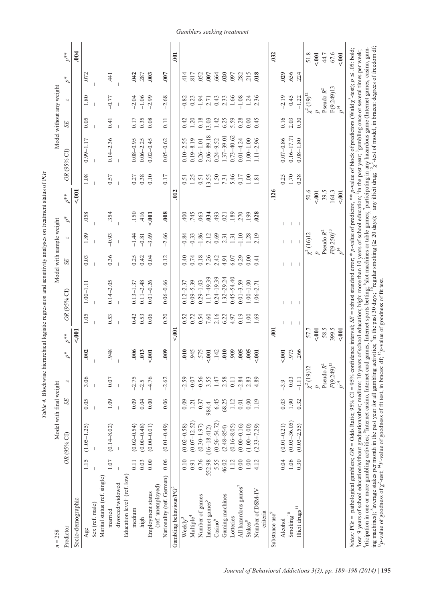| $n = 258$                                                                                                                                                                                                                                                                                                                                                                                                                                                                                                                                                                                                                                                                                                                                                                                                                                                                       |          | Model with final weight |       |                           |          |                | Table 4. Blockwise hierarchical logistic regression and sensitivity analyses on treatment status of PGr | Model with sample weight |                 |                 |                             |                                                                                                                                   |                | Model without any weight |          |                |
|---------------------------------------------------------------------------------------------------------------------------------------------------------------------------------------------------------------------------------------------------------------------------------------------------------------------------------------------------------------------------------------------------------------------------------------------------------------------------------------------------------------------------------------------------------------------------------------------------------------------------------------------------------------------------------------------------------------------------------------------------------------------------------------------------------------------------------------------------------------------------------|----------|-------------------------|-------|---------------------------|----------|----------------|---------------------------------------------------------------------------------------------------------|--------------------------|-----------------|-----------------|-----------------------------|-----------------------------------------------------------------------------------------------------------------------------------|----------------|--------------------------|----------|----------------|
| Predictor                                                                                                                                                                                                                                                                                                                                                                                                                                                                                                                                                                                                                                                                                                                                                                                                                                                                       |          | OR (95% CI)             | S E   | N                         | $p^\ast$ | $p^{\ast\ast}$ | OR (95% CI)                                                                                             | SE <sub></sub>           | N               | $\mathcal{P}^*$ | $p^{**}$                    | OR (95% CI)                                                                                                                       | SE <sub></sub> | N                        | $p^\ast$ | $p^{\ast\ast}$ |
| Socio-demographic                                                                                                                                                                                                                                                                                                                                                                                                                                                                                                                                                                                                                                                                                                                                                                                                                                                               |          |                         |       |                           |          | 5.001          |                                                                                                         |                          |                 |                 | < .001                      |                                                                                                                                   |                |                          |          | .004           |
| Age                                                                                                                                                                                                                                                                                                                                                                                                                                                                                                                                                                                                                                                                                                                                                                                                                                                                             | 1.15     | $(1.05 - 1.25)$         | 0.05  | 3.06                      | .002     | 1.05           | $1.00 - 1.11$                                                                                           | 0.03                     | 1.89            | .058            | 1.08                        | $0.99 - 1.17$                                                                                                                     | 0.05           | 1.80                     | .072     |                |
| Sex (ref. male)                                                                                                                                                                                                                                                                                                                                                                                                                                                                                                                                                                                                                                                                                                                                                                                                                                                                 |          |                         |       |                           |          |                |                                                                                                         |                          |                 |                 |                             |                                                                                                                                   |                |                          |          |                |
| Marital status (ref. single)                                                                                                                                                                                                                                                                                                                                                                                                                                                                                                                                                                                                                                                                                                                                                                                                                                                    |          |                         |       |                           |          |                |                                                                                                         |                          |                 |                 |                             |                                                                                                                                   |                |                          |          |                |
| married                                                                                                                                                                                                                                                                                                                                                                                                                                                                                                                                                                                                                                                                                                                                                                                                                                                                         | $1.07\,$ | $(0.14 - 8.02)$         | 1.09  | 0.07                      | .948     | 0.53           | $0.14 - 2.05$                                                                                           | 0.36                     | $-0.93$         | .354            | 0.57                        | $0.14 - 2.36$                                                                                                                     | 0.41           | $-0.77$                  | 441      |                |
| divorced/widowed                                                                                                                                                                                                                                                                                                                                                                                                                                                                                                                                                                                                                                                                                                                                                                                                                                                                |          |                         |       |                           |          |                |                                                                                                         |                          |                 |                 |                             |                                                                                                                                   |                |                          |          |                |
| Education level <sup>1</sup> (ref. low)                                                                                                                                                                                                                                                                                                                                                                                                                                                                                                                                                                                                                                                                                                                                                                                                                                         |          |                         |       |                           |          |                |                                                                                                         |                          |                 |                 |                             |                                                                                                                                   |                |                          |          |                |
| medium                                                                                                                                                                                                                                                                                                                                                                                                                                                                                                                                                                                                                                                                                                                                                                                                                                                                          | 0.11     | $(0.02 - 0.54)$         | 0.09  | $-2.75$                   | .006     | 0.42           | $0.13 - 1.37$                                                                                           | 0.25                     | $-1.44$         | .150            | 0.27                        | $0.08 - 0.95$                                                                                                                     | 0.17           | $-2.04$                  |          |                |
| high                                                                                                                                                                                                                                                                                                                                                                                                                                                                                                                                                                                                                                                                                                                                                                                                                                                                            | 0.03     | $(0.00 - 0.48)$         | 0.04  | $-2.5$                    | .013     | 0.53           | $0.11 - 2.48$                                                                                           | 0.42                     | $-0.81$         | .416            | 0.38                        | $0.06 - 2.25$                                                                                                                     | 0.35           | $-1.06$                  | .287     |                |
| (ref. unemployed)<br>Employment status                                                                                                                                                                                                                                                                                                                                                                                                                                                                                                                                                                                                                                                                                                                                                                                                                                          | 0.00     | $(0.00 - 0.01)$         | 0.00  | 4.76                      | 5.001    | 0.06           | $0.01 - 0.26$                                                                                           | 0.04                     | $-3.69$         | 5.001           | 0.10                        | $0.02 - 0.45$                                                                                                                     | 0.08           | $-2.99$                  | .003     |                |
| Nationality (ref. German)                                                                                                                                                                                                                                                                                                                                                                                                                                                                                                                                                                                                                                                                                                                                                                                                                                                       | 0.06     | $(0.01 - 0.49)$         | 0.06  | $-2.62$                   | .009     | 0.20           | $0.06 - 0.66$                                                                                           | 0.12                     | $-2.66$         | .008            | 0.17                        | $0.05 - 0.62$                                                                                                                     | 0.11           | $-2.68$                  | $-007$   |                |
| Gambling behaviour/PG <sup>2</sup>                                                                                                                                                                                                                                                                                                                                                                                                                                                                                                                                                                                                                                                                                                                                                                                                                                              |          |                         |       |                           |          | < 001          |                                                                                                         |                          |                 |                 | 012                         |                                                                                                                                   |                |                          |          | $\overline{0}$ |
| $Weekly^3$                                                                                                                                                                                                                                                                                                                                                                                                                                                                                                                                                                                                                                                                                                                                                                                                                                                                      | 0.10     | $(0.02 - 0.58)$         | 0.09  | $-2.59$                   | 010      | 0.52           | $0.12 - 2.37$                                                                                           | 0.40                     | $-0.84$         | $rac{400}{2}$   | 0.51                        | $0.10 - 2.55$                                                                                                                     | 0.42           | $-0.82$                  | 414      |                |
| Multiple <sup>4</sup>                                                                                                                                                                                                                                                                                                                                                                                                                                                                                                                                                                                                                                                                                                                                                                                                                                                           | 0.91     | $(0.07 - 12.52)$        | 1.21  | $-0.07$                   | ,945     | 0.72           | $0.09 - 5.39$                                                                                           | 0.74                     | $-0.33$         | 745             | 1.25                        | $0.19 - 8.19$                                                                                                                     | 1.20           | 0.23                     | 817      |                |
| Number of games                                                                                                                                                                                                                                                                                                                                                                                                                                                                                                                                                                                                                                                                                                                                                                                                                                                                 | 0.76     | $(0.30 - 1.97)$         | 0.37  | $-0.56$                   | .575     | 0.54           | $0.29 - 1.03$                                                                                           | 0.18                     | $-1.86$         | 063             | 0.51                        | $0.26 - 1.01$                                                                                                                     | 0.18           | $-1.94$                  | 052      |                |
| Internet games <sup>5</sup>                                                                                                                                                                                                                                                                                                                                                                                                                                                                                                                                                                                                                                                                                                                                                                                                                                                     | 552.98   | $(16 - 18.412)$         | 984.4 | 3.55                      | 5.001    | 7.60           | $1.17 - 49.39$                                                                                          | 7.26                     | 2.12            | .034            | 13.55                       | $2.06 - 89.18$                                                                                                                    | 13.03          | 2.71                     | .007     |                |
| $\mathrm{Casino}^6$                                                                                                                                                                                                                                                                                                                                                                                                                                                                                                                                                                                                                                                                                                                                                                                                                                                             | 5.55     | $(0.56 - 54.72)$        | 6.45  | 1.47                      | .142     | 2.16           | $0.24 - 19.39$                                                                                          | 2.42                     | 0.69            | 493             | $\frac{1.50}{7.31}$<br>5.46 | $0.24 - 9.52$                                                                                                                     | 1.42           | 0.43                     | .664     |                |
| Gaming machines                                                                                                                                                                                                                                                                                                                                                                                                                                                                                                                                                                                                                                                                                                                                                                                                                                                                 | 46.02    | $(2.48 - 854)$          | 68.25 | 2.58                      | .010     | 6.22           | $1.32 - 29.24$                                                                                          | 4.91                     | 2.31            | .021            |                             | 1.37-39.01                                                                                                                        | 6.25           | 2.33                     | .020     |                |
| Lotteries                                                                                                                                                                                                                                                                                                                                                                                                                                                                                                                                                                                                                                                                                                                                                                                                                                                                       | 1.12     | $(0.16 - 8.05)$         | 1.12  | 0.11                      | 909      | 4.97           | $0.45 - 54.40$                                                                                          | 6.07                     | 1.31            | .189            |                             | $0.73 - 40.62$                                                                                                                    | 5.59           | 1.66                     | .097     |                |
| All hazardous games <sup>7</sup>                                                                                                                                                                                                                                                                                                                                                                                                                                                                                                                                                                                                                                                                                                                                                                                                                                                | 0.00     | $(0.00 - 0.16)$         | 0.01  | 2.84                      | .005     | 0.19           | $0.01 - 3.59$                                                                                           | 0.29                     | $1.10$          | 270             |                             | $0.01 - 4.24$                                                                                                                     | 0.28           | $-1.08$                  | 282      |                |
| $\mbox{{\sc Stakes}}^8$                                                                                                                                                                                                                                                                                                                                                                                                                                                                                                                                                                                                                                                                                                                                                                                                                                                         | $1.00\,$ | $(1.00 - 1.00)$         | 0.00  | 2.83                      | .005     | 1.00           | $1.00 - 1.00$                                                                                           | 0.00                     | 1.28            | 199             | 1.00                        | $1.00 - 1.00$                                                                                                                     | 0.00           | 1.24                     | 215      |                |
| Number of DSM-IV                                                                                                                                                                                                                                                                                                                                                                                                                                                                                                                                                                                                                                                                                                                                                                                                                                                                | 4.12     | $(2.33 - 7.29)$         | 1.19  | 4.89                      | 5.001    | 1.69           | $1.06 - 2.71$                                                                                           | 0.41                     | 2.19            | 028             | 1.81                        | $.11 - 2.96$                                                                                                                      | 0.45           | 2.36                     | .018     |                |
| criteria                                                                                                                                                                                                                                                                                                                                                                                                                                                                                                                                                                                                                                                                                                                                                                                                                                                                        |          |                         |       |                           |          |                |                                                                                                         |                          |                 |                 |                             |                                                                                                                                   |                |                          |          |                |
| Substance use <sup>9</sup>                                                                                                                                                                                                                                                                                                                                                                                                                                                                                                                                                                                                                                                                                                                                                                                                                                                      |          |                         |       |                           |          | $\overline{5}$ |                                                                                                         |                          |                 |                 | .126                        |                                                                                                                                   |                |                          |          | .032           |
| Alcohol                                                                                                                                                                                                                                                                                                                                                                                                                                                                                                                                                                                                                                                                                                                                                                                                                                                                         | 0.04     | $(0.01 - 0.21)$         | 0.03  | $-3.9$                    | < .001   |                |                                                                                                         |                          |                 |                 | 0.25                        | $0.07 - 0.86$                                                                                                                     | 0.16           | $-2.19$                  | 029      |                |
| Smoking <sup>10</sup>                                                                                                                                                                                                                                                                                                                                                                                                                                                                                                                                                                                                                                                                                                                                                                                                                                                           | 1.06     | $(0.03 - 36.05)$        | 1.90  | 0.03                      | .973     |                |                                                                                                         |                          |                 |                 | 1.70                        | $0.16 - 17.71$                                                                                                                    | 2.03           | 0.45                     | .656     |                |
| Illicit drugs <sup>11</sup>                                                                                                                                                                                                                                                                                                                                                                                                                                                                                                                                                                                                                                                                                                                                                                                                                                                     | 0.30     | $(0.03 - 2.55)$         | 0.32  | $-1.11$                   | .266     |                |                                                                                                         |                          |                 |                 | 0.38                        | $0.08 - 1.80$                                                                                                                     | 0.30           | $-1.22$                  | .224     |                |
|                                                                                                                                                                                                                                                                                                                                                                                                                                                                                                                                                                                                                                                                                                                                                                                                                                                                                 |          |                         |       | $\chi^2(19)12$            |          | 57.7           |                                                                                                         |                          | $\chi^2(16)12$  |                 | 50.6                        |                                                                                                                                   |                | $\chi^2(19)^{12}$        |          | 51.8           |
|                                                                                                                                                                                                                                                                                                                                                                                                                                                                                                                                                                                                                                                                                                                                                                                                                                                                                 |          |                         |       |                           |          | 5.001          |                                                                                                         |                          |                 |                 | 5.001                       |                                                                                                                                   |                |                          |          | 5.001          |
|                                                                                                                                                                                                                                                                                                                                                                                                                                                                                                                                                                                                                                                                                                                                                                                                                                                                                 |          |                         |       | Pseudo $\boldsymbol{R}^2$ |          | 58.5           |                                                                                                         |                          | Pseudo $R^2$    |                 | 39.5                        |                                                                                                                                   |                | Pseudo $R^2$             |          | 44.7           |
|                                                                                                                                                                                                                                                                                                                                                                                                                                                                                                                                                                                                                                                                                                                                                                                                                                                                                 |          |                         |       | $F(9.249)^{13}$           |          | 399.5          |                                                                                                         |                          | $F(9.250)^{13}$ |                 | 164.3                       |                                                                                                                                   |                | F(9.249)13               |          | 67.6           |
|                                                                                                                                                                                                                                                                                                                                                                                                                                                                                                                                                                                                                                                                                                                                                                                                                                                                                 |          |                         |       | $p^{14}$                  |          | 5.001          |                                                                                                         |                          | $p^{14}$        |                 | 1001                        |                                                                                                                                   |                | $p^{14}$                 |          | < 001          |
| ing machines); <sup>8</sup> average stakes per month in the past year for all gambling activities; <sup>9</sup> in the past 30 days; <sup>10</sup> regular smoking ( $\geq$ 20 days); <sup>11</sup> any illicit drug; <sup>12</sup> $\chi^2$ -test of model, in braces: degrees of<br><i>Notes</i> : PGr = pathological gamblers; $OR = O$ dds Ratio; 95% CI = 95% confidence interval; $SE =$ robust standard error; * p-value of predictior; ** p-value of block of predictiors (Wald $\chi^2$ -test); $p \le .05$ : bold;<br>how: 9 years of school education/without graduation/other; medium: 10 years of school education; high: more than 10 years of school education; <sup>2</sup> in the past year; <sup>3</sup> gambling once or several times per week;<br><sup>4</sup> rticipation in one or more gambling activities; <sup>5</sup> Internet casino, Internet card |          |                         |       |                           |          |                |                                                                                                         |                          |                 |                 |                             | games, Internet sports betting; 'slot machines or table games; 'participating in any hazardous game (Internet games, casino, gam- |                |                          |          |                |
| $^{13}p$ -value of goodness of $\chi^2$ -test; <sup>14</sup> F-value of goodness of fit test, in braces: df; <sup>15</sup> p-value of goodness of fit test.                                                                                                                                                                                                                                                                                                                                                                                                                                                                                                                                                                                                                                                                                                                     |          |                         |       |                           |          |                |                                                                                                         |                          |                 |                 |                             |                                                                                                                                   |                |                          |          |                |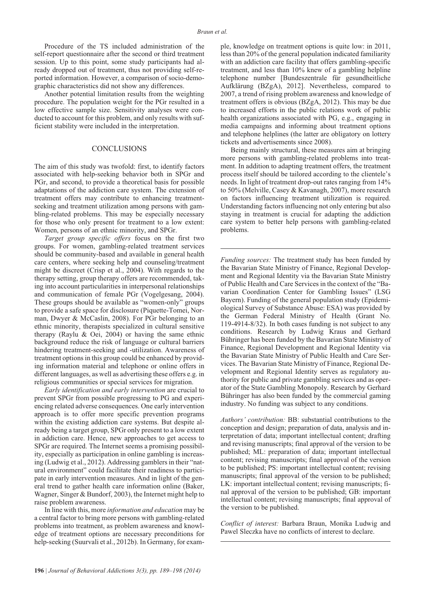Procedure of the TS included administration of the self-report questionnaire after the second or third treatment session. Up to this point, some study participants had already dropped out of treatment, thus not providing self-reported information. However, a comparison of socio-demographic characteristics did not show any differences.

Another potential limitation results from the weighting procedure. The population weight for the PGr resulted in a low effective sample size. Sensitivity analyses were conducted to account for this problem, and only results with sufficient stability were included in the interpretation.

# **CONCLUSIONS**

The aim of this study was twofold: first, to identify factors associated with help-seeking behavior both in SPGr and PGr, and second, to provide a theoretical basis for possible adaptations of the addiction care system. The extension of treatment offers may contribute to enhancing treatmentseeking and treatment utilization among persons with gambling-related problems. This may be especially necessary for those who only present for treatment to a low extent: Women, persons of an ethnic minority, and SPGr.

*Target group specific offers* focus on the first two groups. For women, gambling-related treatment services should be community-based and available in general health care centers, where seeking help and counseling/treatment might be discreet (Crisp et al., 2004). With regards to the therapy setting, group therapy offers are recommended, taking into account particularities in interpersonal relationships and communication of female PGr (Vogelgesang, 2004). These groups should be available as "women-only" groups to provide a safe space for disclosure (Piquette-Tomei, Norman, Dwyer & McCaslin, 2008). For PGr belonging to an ethnic minority, therapists specialized in cultural sensitive therapy (Raylu & Oei, 2004) or having the same ethnic background reduce the risk of language or cultural barriers hindering treatment-seeking and -utilization. Awareness of treatment options in this group could be enhanced by providing information material and telephone or online offers in different languages, as well as advertising these offers e.g. in religious communities or special services for migration.

*Early identification and early intervention* are crucial to prevent SPGr from possible progressing to PG and experiencing related adverse consequences. One early intervention approach is to offer more specific prevention programs within the existing addiction care systems. But despite already being a target group, SPGr only present to a low extent in addiction care. Hence, new approaches to get access to SPGr are required. The Internet seems a promising possibility, especially as participation in online gambling is increasing (Ludwig et al., 2012). Addressing gamblers in their "natural environment" could facilitate their readiness to participate in early intervention measures. And in light of the general trend to gather health care information online (Baker, Wagner, Singer & Bundorf, 2003), the Internet might help to raise problem awareness.

In line with this, more *information and education* may be a central factor to bring more persons with gambling-related problems into treatment, as problem awareness and knowledge of treatment options are necessary preconditions for help-seeking (Suurvali et al., 2012b). In Germany, for example, knowledge on treatment options is quite low: in 2011, less than 20% of the general population indicated familiarity with an addiction care facility that offers gambling-specific treatment, and less than 10% knew of a gambling helpline telephone number [Bundeszentrale für gesundheitliche Aufklärung (BZgA), 2012]. Nevertheless, compared to 2007, a trend of rising problem awareness and knowledge of treatment offers is obvious (BZgA, 2012). This may be due to increased efforts in the public relations work of public health organizations associated with PG, e.g., engaging in media campaigns and informing about treatment options and telephone helplines (the latter are obligatory on lottery tickets and advertisements since 2008).

Being mainly structural, these measures aim at bringing more persons with gambling-related problems into treatment. In addition to adapting treatment offers, the treatment process itself should be tailored according to the clientele's needs. In light of treatment drop-out rates ranging from 14% to 50% (Melville, Casey & Kavanagh, 2007), more research on factors influencing treatment utilization is required. Understanding factors influencing not only entering but also staying in treatment is crucial for adapting the addiction care system to better help persons with gambling-related problems.

*Funding sources:* The treatment study has been funded by the Bavarian State Ministry of Finance, Regional Development and Regional Identity via the Bavarian State Ministry of Public Health and Care Services in the context of the "Bavarian Coordination Center for Gambling Issues" (LSG Bayern). Funding of the general population study (Epidemiological Survey of Substance Abuse: ESA) was provided by the German Federal Ministry of Health (Grant No. 119-4914-8/32). In both cases funding is not subject to any conditions. Research by Ludwig Kraus and Gerhard Bühringer has been funded by the Bavarian State Ministry of Finance, Regional Development and Regional Identity via the Bavarian State Ministry of Public Health and Care Services. The Bavarian State Ministry of Finance, Regional Development and Regional Identity serves as regulatory authority for public and private gambling services and as operator of the State Gambling Monopoly. Research by Gerhard Bühringer has also been funded by the commercial gaming industry. No funding was subject to any conditions.

*Authors' contribution:* BB: substantial contributions to the conception and design; preparation of data, analysis and interpretation of data; important intellectual content; drafting and revising manuscripts; final approval of the version to be published; ML: preparation of data; important intellectual content; revising manuscripts; final approval of the version to be published; PS: important intellectual content; revising manuscripts; final approval of the version to be published; LK: important intellectual content; revising manuscripts; final approval of the version to be published; GB: important intellectual content; revising manuscripts; final approval of the version to be published.

*Conflict of interest:* Barbara Braun, Monika Ludwig and Pawel Sleczka have no conflicts of interest to declare.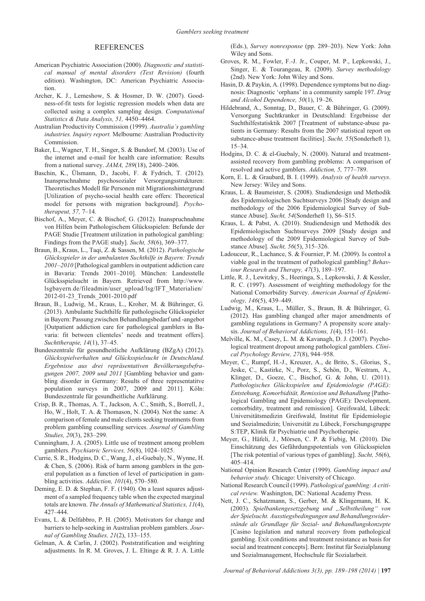### REFERENCES

- American Psychiatric Association (2000). *Diagnostic and statistical manual of mental disorders (Text Revision)* (fourth edition). Washington, DC: American Psychiatric Association.
- Archer, K. J., Lemeshow, S. & Hosmer, D. W. (2007). Goodness-of-fit tests for logistic regression models when data are collected using a complex sampling design. *Computational Statistics & Data Analysis, 51,* 4450–4464.
- Australian Productivity Commission (1999). *Australia's gambling industries. Inquiry report.* Melbourne: Australian Productivity Commission.
- Baker, L., Wagner, T. H., Singer, S. & Bundorf, M. (2003). Use of the internet and e-mail for health care information: Results from a national survey. *JAMA, 289*(18), 2400–2406.
- Baschin, K., Ülsmann, D., Jacobi, F. & Fydrich, T. (2012). Inanspruchnahme psychosozialer Versorgungsstrukturen: Theoretisches Modell für Personen mit Migrationshintergrund [Utilization of psycho-social health care offers: Theoretical model for persons with migration background]. *Psychotherapeut, 57,* 7–14.
- Bischof, A., Meyer, C. & Bischof, G. (2012). Inanspruchnahme von Hilfen beim Pathologischem Glücksspielen: Befunde der PAGE Studie [Treatment utilization in pathological gambling: Findings from the PAGE study]. *Sucht, 58*(6), 369–377.
- Braun, B., Kraus, L., Taqi, Z. & Sassen, M. (2012). *Pathologische Glücksspieler in der ambulanten Suchthilfe in Bayern: Trends 2001–2010* [Pathological gamblers in outpatient addiction care in Bavaria: Trends 2001–2010]. München: Landesstelle Glücksspielsucht in Bayern. Retrieved from http://www. lsgbayern.de/fileadmin/user\_upload/lsg/IFT\_Materialien/ 2012-01-23\_Trends\_2001-2010.pdf
- Braun, B., Ludwig, M., Kraus, L., Kroher, M. & Bühringer, G. (2013). Ambulante Suchthilfe für pathologische Glücksspieler in Bayern: Passung zwischen Behandlungsbedarf und -angebot [Outpatient addiction care for pathological gamblers in Bavaria: fit between clienteles' needs and treatment offers]. *Suchttherapie, 14*(1), 37–45.
- Bundeszentrale für gesundheitliche Aufklärung (BZgA) (2012). *Glücksspielverhalten und Glücksspielsucht in Deutschland. Ergebnisse aus drei repräsentativen Bevölkerungsbefragungen 2007, 2009 und 2011* [Gambling behavior und gambling disorder in Germany: Results of three representatitve population surveys in 2007, 2009 and 2011]. Köln: Bundeszentrale für gesundheitliche Aufklärung.
- Crisp, B. R., Thomas, A. T., Jackson, A. C., Smith, S., Borrell, J., Ho, W., Holt, T. A. & Thomason, N. (2004). Not the same: A comparison of female and male clients seeking treatments from problem gambling counselling services. *Journal of Gambling Studies, 20*(3), 283–299.
- Cunningham, J. A. (2005). Little use of treatment among problem gamblers. *Psychiatric Services, 56*(8), 1024–1025.
- Currie, S. R., Hodgins, D. C., Wang, J., el-Guebaly, N., Wynne, H. & Chen, S. (2006). Risk of harm among gamblers in the general population as a function of level of participation in gambling activities. *Addiction, 101*(4), 570–580.
- Deming, E. D. & Stephan, F. F. (1940). On a least squares adjustment of a sampled frequency table when the expected marginal totals are known. *The Annals of Mathematical Statistics, 11*(4), 427–444.
- Evans, L. & Delfabbro, P. H. (2005). Motivators for change and barriers to help-seeking in Australian problem gamblers. *Journal of Gambling Studies, 21*(2), 133–155.
- Gelman, A. & Carlin, J. (2002). Poststratification and weighting adjustments. In R. M. Groves, J. L. Eltinge & R. J. A. Little

(Eds.), *Survey nonresponse* (pp. 289–203). New York: John Wiley and Sons.

- Groves, R. M., Fowler, F.-J. Jr., Couper, M. P., Lepkowski, J., Singer, E. & Tourangeau, R. (2009). *Survey methodology* (2nd). New York: John Wiley and Sons.
- Hasin, D. & Paykin, A. (1998). Dependence symptoms but no diagnosis: Diagnostic 'orphans' in a community sample 197. *Drug and Alcohol Dependence, 50*(1), 19–26.
- Hildebrand, A., Sonntag, D., Bauer, C. & Bühringer, G. (2009). Versorgung Suchtkranker in Deutschland: Ergebnisse der Suchthilfestatisktik 2007 [Treatment of substance-abuse patients in Germany: Results from the 2007 statistical report on substance-abuse treatment facilities]. *Sucht, 55*(Sonderheft 1), 15–34.
- Hodgins, D. C. & el-Guebaly, N. (2000). Natural and treatmentassisted recovery from gambling problems: A comparison of resolved and active gamblers. *Addiction, 5,* 777–789.
- Korn, E. L. & Graubard, B. I. (1999). *Analysis of health surveys*. New Jersey: Wiley and Sons.
- Kraus, L. & Baumeister, S. (2008). Studiendesign und Methodik des Epidemiologischen Suchtsurveys 2006 [Study design and methodology of the 2006 Epidemiological Survey of Substance Abuse]. *Sucht, 54*(Sonderheft 1), S6–S15.
- Kraus, L. & Pabst, A. (2010). Studiendesign und Methodik des Epidemiologischen Suchtsurveys 2009 [Study design and methodology of the 2009 Epidemiological Survey of Substance Abuse]. *Sucht, 56*(5), 315–326.
- Ladouceur, R., Lachance, S. & Fournier, P. M. (2009). Is control a viable goal in the treatment of pathological gambling? *Behaviour Research and Therapy, 47*(3), 189–197.
- Little, R. J., Lewitzky, S., Heeringa, S., Lepkowski, J. & Kessler, R. C. (1997). Assessment of weighting methodology for the National Comorbidity Survey. *American Journal of Epidemiology, 146*(5), 439–449.
- Ludwig, M., Kraus, L., Müller, S., Braun, B. & Bühringer, G. (2012). Has gambling changed after major amendments of gambling regulations in Germany? A propensity score analysis. *Journal of Behavioral Addictions, 1*(4), 151–161.
- Melville, K. M., Casey, L. M. & Kavanagh, D. J. (2007). Psychological treatment dropout among pathological gamblers. *Clinical Psychology Review, 27*(8), 944–958.
- Meyer, C., Rumpf, H.-J., Kreuzer, A., de Brito, S., Glorius, S., Jeske, C., Kastirke, N., Porz, S., Schön, D., Westram, A., Klinger, D., Goeze, C., Bischof, G. & John, U. (2011). *Pathologisches Glücksspielen und Epidemiologie (PAGE): Entstehung, Komorbidität, Remission und Behandlung* [Pathological Gambling and Epidemiology (PAGE): Development, comorbidity, treatment and remission]. Greifswald, Lübeck: Universitätsmedizin Greifswald, Institut für Epidemiologie und Sozialmedizin; Universität zu Lübeck, Forschungsgruppe S:TEP, Klinik für Psychiatrie und Psychotherapie.
- Meyer, G., Häfeli, J., Mörsen, C. P. & Fiebig, M. (2010). Die Einschätzung des Gefährdungspotentials von Glücksspielen [The risk potential of various types of gambling]. *Sucht, 56*(6), 405–414.
- National Opinion Research Center (1999). *Gambling impact and behavior study.* Chicago: University of Chicago.
- National Research Council (1999). *Pathological gambling: A critical review.* Washington, DC: National Academy Press.
- Nett, J. C., Schatzmann, S., Gerber, M. & Klingemann, H. K. (2003). *Spielbankengesetzgebung und "Selbstheilung" von der Spielsucht. Ausstiegsbedingungen und Behandlungswiderstände als Grundlage für Sozial- und Behandlungskonzepte* [Casino legislation and natural recovery from pathological gambling. Exit conditions and treatment resistance as basis for social and treatment concepts]. Bern: Institut für Sozialplanung und Sozialmanagement, Hochschule für Sozialarbeit.

*Journal of Behavioral Addictions 3(3), pp. 189–198 (2014)* | **197**